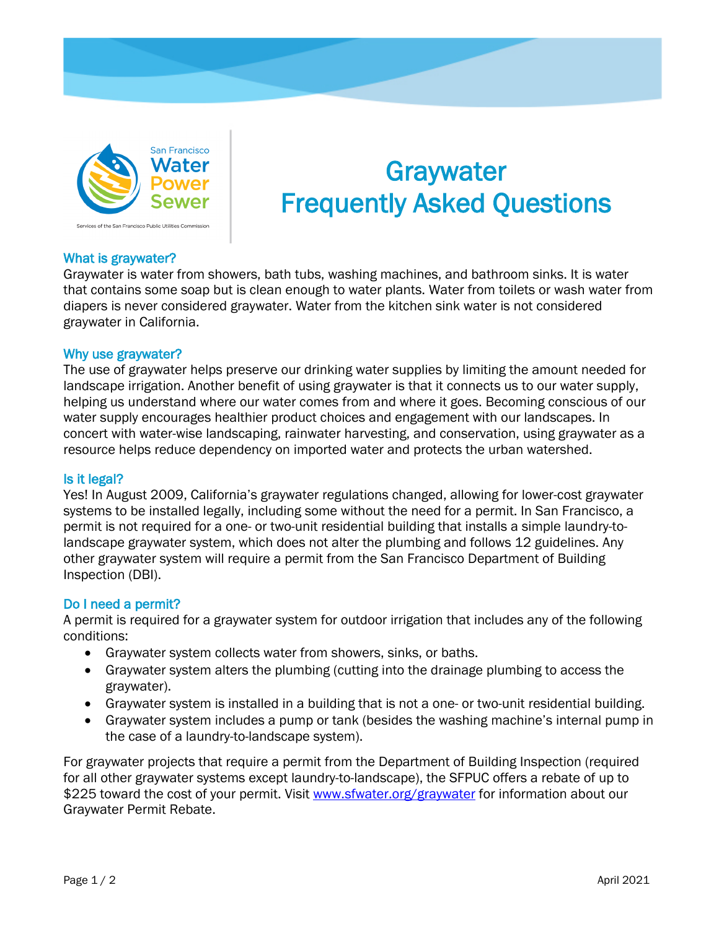

# **Graywater** Frequently Asked Questions

## What is graywater?

Graywater is water from showers, bath tubs, washing machines, and bathroom sinks. It is water that contains some soap but is clean enough to water plants. Water from toilets or wash water from diapers is never considered graywater. Water from the kitchen sink water is not considered graywater in California.

## Why use graywater?

The use of graywater helps preserve our drinking water supplies by limiting the amount needed for landscape irrigation. Another benefit of using graywater is that it connects us to our water supply, helping us understand where our water comes from and where it goes. Becoming conscious of our water supply encourages healthier product choices and engagement with our landscapes. In concert with water-wise landscaping, rainwater harvesting, and conservation, using graywater as a resource helps reduce dependency on imported water and protects the urban watershed.

## Is it legal?

Yes! In August 2009, California's graywater regulations changed, allowing for lower-cost graywater systems to be installed legally, including some without the need for a permit. In San Francisco, a permit is not required for a one- or two-unit residential building that installs a simple laundry-tolandscape graywater system, which does not alter the plumbing and follows 12 guidelines. Any other graywater system will require a permit from the San Francisco Department of Building Inspection (DBI).

## Do I need a permit?

A permit is required for a graywater system for outdoor irrigation that includes any of the following conditions:

- Graywater system collects water from showers, sinks, or baths.
- Graywater system alters the plumbing (cutting into the drainage plumbing to access the graywater).
- Graywater system is installed in a building that is not a one- or two-unit residential building.
- Graywater system includes a pump or tank (besides the washing machine's internal pump in the case of a laundry-to-landscape system).

For graywater projects that require a permit from the Department of Building Inspection (required for all other graywater systems except laundry-to-landscape), the SFPUC offers a rebate of up to \$225 toward the cost of your permit. Visit [www.sfwater.org/graywater](http://www.sfwater.org/graywater) for information about our Graywater Permit Rebate.